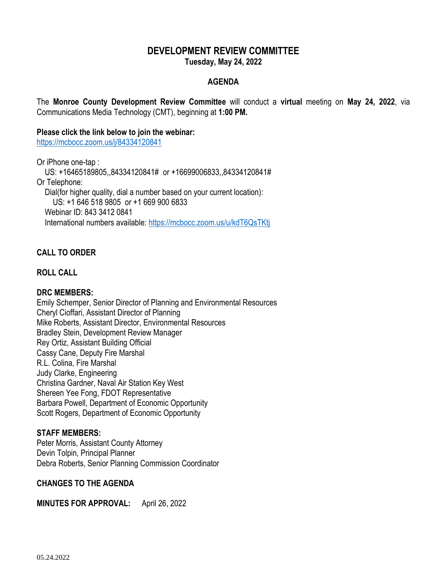## **DEVELOPMENT REVIEW COMMITTEE Tuesday, May 24, 2022**

# **AGENDA**

The **Monroe County Development Review Committee** will conduct a **virtual** meeting on **May 24, 2022**, via Communications Media Technology (CMT), beginning at **1:00 PM.**

#### **Please click the link below to join the webinar:**

<https://mcbocc.zoom.us/j/84334120841>

Or iPhone one-tap :

 US: +16465189805,,84334120841# or +16699006833,,84334120841# Or Telephone: Dial(for higher quality, dial a number based on your current location): US: +1 646 518 9805 or +1 669 900 6833 Webinar ID: 843 3412 0841 International numbers available:<https://mcbocc.zoom.us/u/kdT6QsTKtj>

## **CALL TO ORDER**

## **ROLL CALL**

## **DRC MEMBERS:**

Emily Schemper, Senior Director of Planning and Environmental Resources Cheryl Cioffari, Assistant Director of Planning Mike Roberts, Assistant Director, Environmental Resources Bradley Stein, Development Review Manager Rey Ortiz, Assistant Building Official Cassy Cane, Deputy Fire Marshal R.L. Colina, Fire Marshal Judy Clarke, Engineering Christina Gardner, Naval Air Station Key West Shereen Yee Fong, FDOT Representative Barbara Powell, Department of Economic Opportunity Scott Rogers, Department of Economic Opportunity

## **STAFF MEMBERS:**

Peter Morris, Assistant County Attorney Devin Tolpin, Principal Planner Debra Roberts, Senior Planning Commission Coordinator

## **CHANGES TO THE AGENDA**

**MINUTES FOR APPROVAL:** April 26, 2022